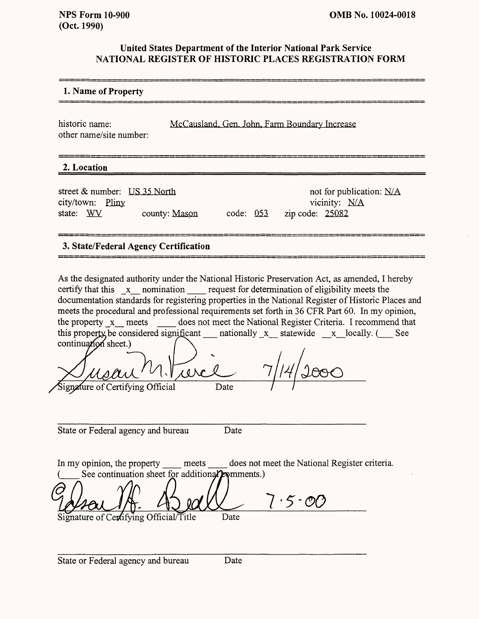## **United States Department of the Interior National Park Service NATIONAL REGISTER OF HISTORIC PLACES REGISTRATION FORM**

## **1. Name of Property**

historic name: McCausland, Gen. John, Farm Boundary Increase other name/site number:

# **2. Location\_\_\_\_\_\_\_\_\_\_\_\_\_\_\_\_\_^\_\_\_\_\_\_\_\_\_\_\_\_\_\_\_\_\_\_\_\_\_\_\_**

street & number: US 35 North not for publication: N/A city/town: Pliny vicinity: N/A state: WV county: Mason code: 053 zip code: 25082

# **3. State/Federal Agency Certification**

As the designated authority under the National Historic Preservation Act, as amended, I hereby certify that this x nomination request for determination of eligibility meets the documentation standards for registering properties in the National Register of Historic Places and meets the procedural and professional requirements set forth in 36 CFR Part 60. In my opinion, the property x meets does not meet the National Register Criteria. I recommend that does not meet the National Register Criteria. I recommend that this property be considered significant antionally  $x$  statewide  $x$  locally. (See continuation sheet.)

 $10<sup>2</sup>$ Signature of Certifying Official Date

State or Federal agency and bureau Date

In my opinion, the property meets does not meet the National Register criteria. See continuation sheet for additional promments.)

 $\cdot$  5  $\cdot$  0 Signature of Certifying Official/Title Date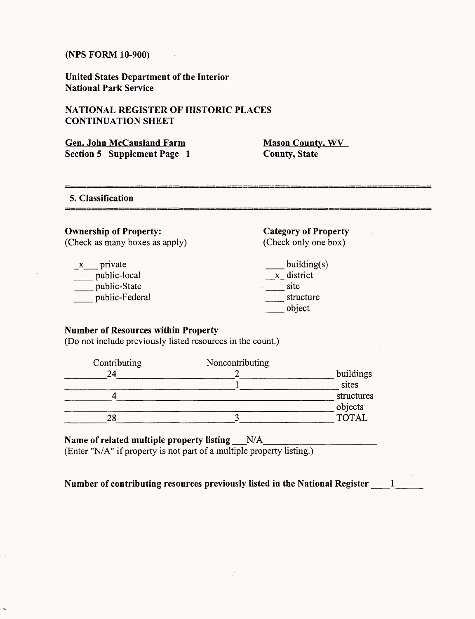**United States Department of the Interior National Park Service**

## **NATIONAL REGISTER OF HISTORIC PLACES CONTINUATION SHEET**

| <b>Gen. John McCausland Farm</b> |  |
|----------------------------------|--|
| Section 5 Supplement Page 1      |  |

**Mason County, WV County, State**

.<br>2001 - Andrew Marie Marie Marie Lander de Lander de Lander de Lander de Lander de Lander de Lander de Lander d

**5. Classification**

# **Ownership of Property:**

(Check as many boxes as apply)

| x | private        |
|---|----------------|
|   | public-local   |
|   | public-State   |
|   | public-Federal |

**Category of Property** (Check only one box)

building(s) \_x\_ district \_\_\_\_ site \_ structure \_ object

#### **Number of Resources within Property**

(Do not include previously listed resources in the count.)

| Noncontributing |                  |
|-----------------|------------------|
|                 | buildings        |
|                 | sites            |
|                 | structures       |
|                 |                  |
|                 | objects<br>TOTAL |
|                 |                  |

### Name of related multiple property listing N/A

(Enter "N/A" if property is not part of a multiple property listing.)

**Number of contributing resources previously listed in the National Register**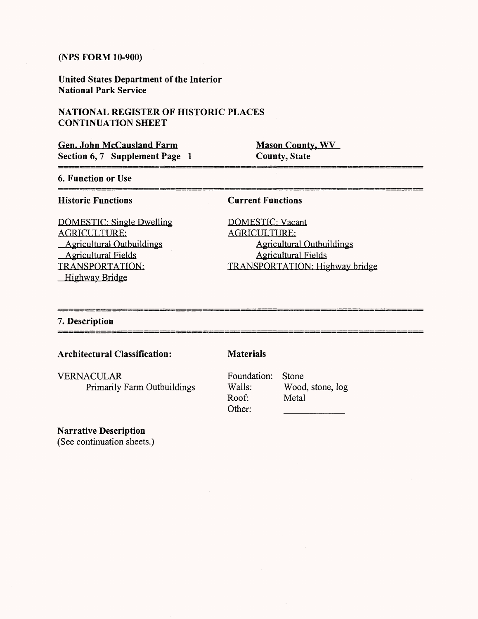**United States Department of the Interior National Park Service**

## NATIONAL REGISTER OF HISTORIC PLACES **CONTINUATION SHEET**

| <b>Gen. John McCausland Farm</b> |  |
|----------------------------------|--|
| Section 6, 7 Supplement Page 1   |  |

**Mason County, WV County, State**

## **6. Function or Use**

#### **Historic Functions**

DOMESTIC: Single Dwelling AGRICULTURE: Agricultural Outbuildings Agricultural Fields TRANSPORTATION: Highway Bridge

### **Current Functions**

DOMESTIC: Vacant AGRICULTURE: Agricultural Outbuildings Agricultural Fields TRANSPORTATION: Highway bridge

#### **7. Description** \_\_\_\_\_\_\_\_\_\_\_\_\_\_\_\_

## **Architectural Classification:**

VERNACULAR Primarily Farm Outbuildings **Materials**

Foundation: Stone Roof: Metal Other:

Walls: Wood, stone, log

# **Narrative Description**

(See continuation sheets.)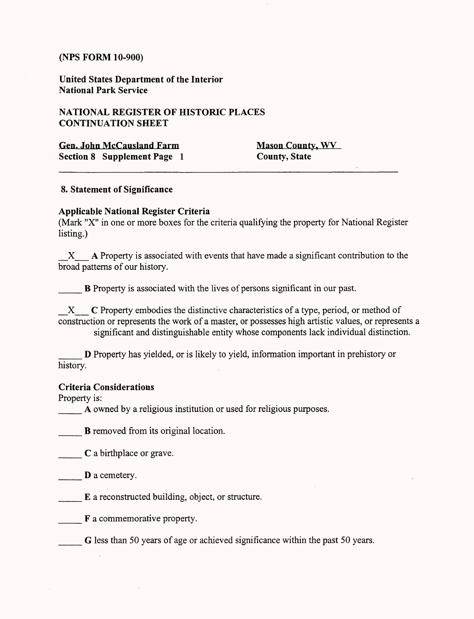**United States Department of the Interior National Park Service**

## **NATIONAL REGISTER OF HISTORIC PLACES CONTINUATION SHEET**

Gen. John McCausland Farm Mason County, WV **Section 8 Supplement Page 1** County, State

## **8. Statement of Significance**

## **Applicable National Register Criteria**

(Mark "X" in one or more boxes for the criteria qualifying the property for National Register listing.)

X A Property is associated with events that have made a significant contribution to the broad patterns of our history.

**B** Property is associated with the lives of persons significant in our past.

X C Property embodies the distinctive characteristics of a type, period, or method of construction or represents the work of a master, or possesses high artistic values, or represents a significant and distinguishable entity whose components lack individual distinction.

\_\_\_ D Property has yielded, or is likely to yield, information important in prehistory or history.

#### **Criteria Considerations**

Property is:

A owned by a religious institution or used for religious purposes.

**B** removed from its original location.

**C** a birthplace or grave.

D a cemetery.

E a reconstructed building, object, or structure.

F a commemorative property.

G less than 50 years of age or achieved significance within the past 50 years.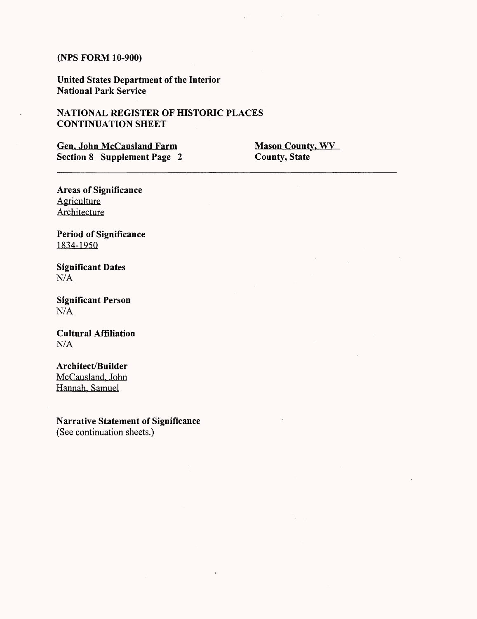United States Department of the Interior National Park Service

## NATIONAL REGISTER OF HISTORIC PLACES **CONTINUATION SHEET**

Gen. John McCausland Farm Mason County, WV<br>
Section 8 Supplement Page 2 County, State Section 8 Supplement Page 2

 $\hat{\mathcal{A}}$ 

Areas of Significance **Agriculture** Architecture

Period of Significance 1834-1950

Significant Dates N/A

Significant Person N/A

Cultural Affiliation **N/A**

**Architect/Builder** McCausland, John Hannah. Samuel

Narrative Statement of Significance (See continuation sheets.)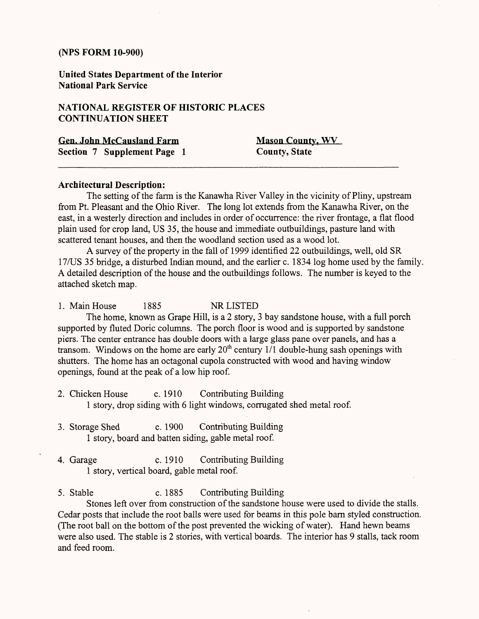**United States Department of the Interior National Park Service**

## **NATIONAL REGISTER OF HISTORIC PLACES CONTINUATION SHEET**

| <b>Gen. John McCausland Farm</b> | Mas |
|----------------------------------|-----|
| Section 7 Supplement Page 1      | Cou |

**General County, WV nty, State** 

#### **Architectural Description:**

The setting of the farm is the Kanawha River Valley in the vicinity of Pliny, upstream from Pt. Pleasant and the Ohio River. The long lot extends from the Kanawha River, on the east, in a westerly direction and includes in order of occurrence: the river frontage, a flat flood plain used for crop land, US 35, the house and immediate outbuildings, pasture land with scattered tenant houses, and then the woodland section used as a wood lot.

A survey of the property in the fall of 1999 identified 22 outbuildings, well, old SR 17/US 35 bridge, a disturbed Indian mound, and the earlier c. 1834 log home used by the family. A detailed description of the house and the outbuildings follows. The number is keyed to the attached sketch map.

1. Main House 1885 NR LISTED The home, known as Grape Hill, is a 2 story, 3 bay sandstone house, with a full porch supported by fluted Doric columns. The porch floor is wood and is supported by sandstone piers. The center entrance has double doors with a large glass pane over panels, and has a transom. Windows on the home are early  $20<sup>th</sup>$  century 1/1 double-hung sash openings with shutters. The home has an octagonal cupola constructed with wood and having window openings, found at the peak of a low hip roof.

- 2. Chicken House c. 1910 Contributing Building 1 story, drop siding with 6 light windows, corrugated shed metal roof.
- 3. Storage Shed c. 1900 Contributing Building 1 story, board and batten siding, gable metal roof.
- 4. Garage c. 1910 Contributing Building 1 story, vertical board, gable metal roof.

5. Stable c. 1885 Contributing Building

Stones left over from construction of the sandstone house were used to divide the stalls. Cedar posts that include the root balls were used for beams in this pole barn styled construction. (The root ball on the bottom of the post prevented the wicking of water). Hand hewn beams were also used. The stable is 2 stories, with vertical boards. The interior has 9 stalls, tack room and feed room.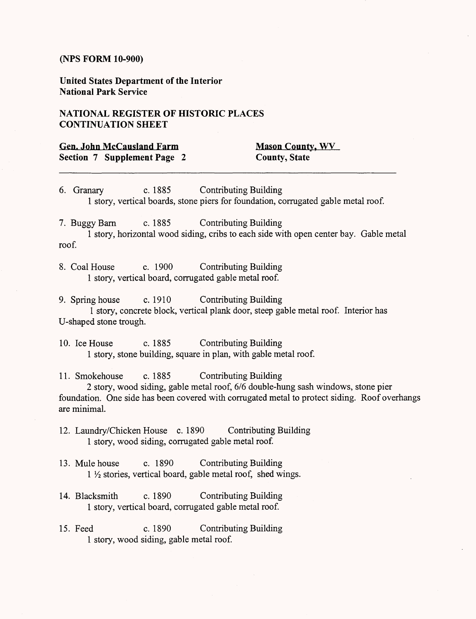**United States Department of the Interior National Park Service**

## **NATIONAL REGISTER OF HISTORIC PLACES CONTINUATION SHEET**

| <b>Gen. John McCausland Farm</b> | <b>Mason County, WV</b> |
|----------------------------------|-------------------------|
| Section 7 Supplement Page 2      | <b>County, State</b>    |

6. Granary c. 1885 Contributing Building 1 story, vertical boards, stone piers for foundation, corrugated gable metal roof.

7. Buggy Barn c. 1885 Contributing Building 1 story, horizontal wood siding, cribs to each side with open center bay. Gable metal roof.

8. Coal House c. 1900 Contributing Building 1 story, vertical board, corrugated gable metal roof.

9. Spring house c. 1910 Contributing Building 1 story, concrete block, vertical plank door, steep gable metal roof. Interior has U-shaped stone trough.

10. Ice House c. 1885 Contributing Building 1 story, stone building, square in plan, with gable metal roof.

11. Smokehouse c. 1885 Contributing Building

2 story, wood siding, gable metal roof, 6/6 double-hung sash windows, stone pier foundation. One side has been covered with corrugated metal to protect siding. Roof overhangs are minimal.

12. Laundry/Chicken House c. 1890 Contributing Building 1 story, wood siding, corrugated gable metal roof.

13. Mule house c. 1890 Contributing Building <sup>1</sup>*l/2* stories, vertical board, gable metal roof, shed wings.

- 14. Blacksmith c. 1890 Contributing Building 1 story, vertical board, corrugated gable metal roof.
- 15. Feed c. 1890 Contributing Building 1 story, wood siding, gable metal roof.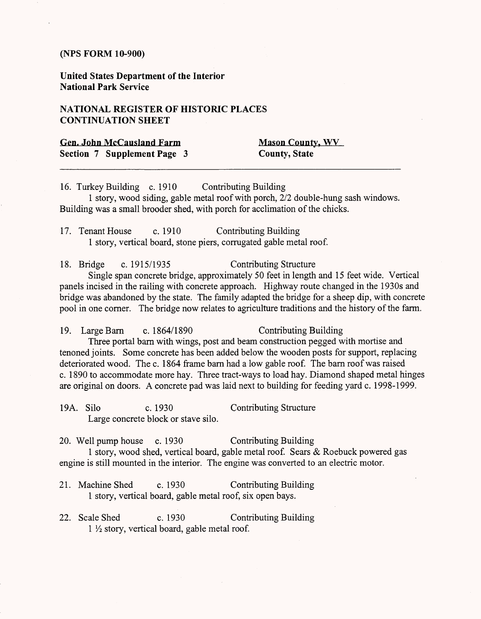**United States Department of the Interior National Park Service**

## **NATIONAL REGISTER OF HISTORIC PLACES CONTINUATION SHEET**

| Gen. John McCausland Farm   | <b>Mason County, WV</b> |
|-----------------------------|-------------------------|
| Section 7 Supplement Page 3 | <b>County, State</b>    |

16. Turkey Building c. 1910 Contributing Building

1 story, wood siding, gable metal roof with porch, 2/2 double-hung sash windows. Building was a small brooder shed, with porch for acclimation of the chicks.

17. Tenant House c. 1910 Contributing Building 1 story, vertical board, stone piers, corrugated gable metal roof.

18. Bridge c. 1915/1935 Contributing Structure Single span concrete bridge, approximately 50 feet in length and 15 feet wide. Vertical panels incised in the railing with concrete approach. Highway route changed in the 1930s and bridge was abandoned by the state. The family adapted the bridge for a sheep dip, with concrete

pool in one corner. The bridge now relates to agriculture traditions and the history of the farm.

19. Large Barn c. 1864/1890 Contributing Building Three portal bam with wings, post and beam construction pegged with mortise and tenoned joints. Some concrete has been added below the wooden posts for support, replacing deteriorated wood. The c. 1864 frame barn had a low gable roof. The barn roof was raised c. 1890 to accommodate more hay. Three tract-ways to load hay. Diamond shaped metal hinges are original on doors. A concrete pad was laid next to building for feeding yard c. 1998-1999.

19A. Silo c. 1930 Contributing Structure Large concrete block or stave silo.

20. Well pump house c. 1930 Contributing Building 1 story, wood shed, vertical board, gable metal roof. Sears & Roebuck powered gas engine is still mounted in the interior. The engine was converted to an electric motor.

- 21. Machine Shed c. 1930 Contributing Building 1 story, vertical board, gable metal roof, six open bays.
- 22. Scale Shed c. 1930 Contributing Building 1 *Vi* story, vertical board, gable metal roof.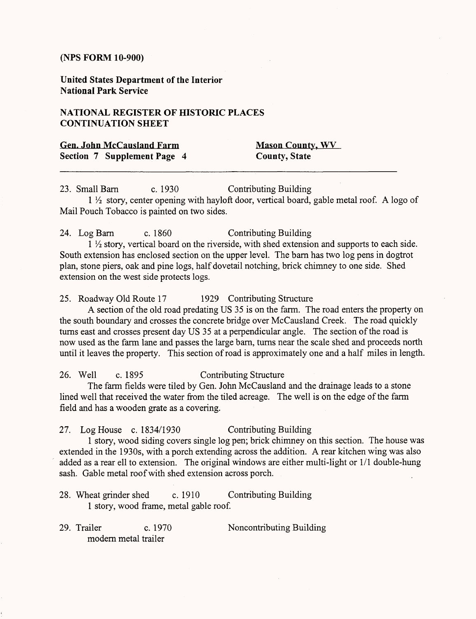**United States Department of the Interior National Park Service**

## **NATIONAL REGISTER OF HISTORIC PLACES CONTINUATION SHEET**

| <b>Gen. John McCausland Farm</b> | <b>Mason County, WV</b> |
|----------------------------------|-------------------------|
| Section 7 Supplement Page 4      | <b>County, State</b>    |

23. Small Barn c. 1930 Contributing Building 1 1/2 story, center opening with hayloft door, vertical board, gable metal roof. A logo of Mail Pouch Tobacco is painted on two sides.

24. Log Barn c. 1860 Contributing Building

<sup>1</sup>*l/2* story, vertical board on the riverside, with shed extension and supports to each side. South extension has enclosed section on the upper level. The barn has two log pens in dogtrot plan, stone piers, oak and pine logs, half dovetail notching, brick chimney to one side. Shed extension on the west side protects logs.

25. Roadway Old Route 17 1929 Contributing Structure

A section of the old road predating US 35 is on the farm. The road enters the property on the south boundary and crosses the concrete bridge over McCausland Creek. The road quickly turns east and crosses present day US 35 at a perpendicular angle. The section of the road is now used as the farm lane and passes the large barn, turns near the scale shed and proceeds north until it leaves the property. This section of road is approximately one and a half miles in length.

## 26. Well c. 1895 Contributing Structure

The farm fields were tiled by Gen. John McCausland and the drainage leads to a stone lined well that received the water from the tiled acreage. The well is on the edge of the farm field and has a wooden grate as a covering.

### 27. Log House c. 1834/1930 Contributing Building

1 story, wood siding covers single log pen; brick chimney on this section. The house was extended in the 1930s, with a porch extending across the addition. A rear kitchen wing was also added as a rear ell to extension. The original windows are either multi-light or 1/1 double-hung sash. Gable metal roof with shed extension across porch.

- 28. Wheat grinder shed c. 1910 Contributing Building 1 story, wood frame, metal gable roof.
- 29. Trailer c. 1970 Noncontributing Building modern metal trailer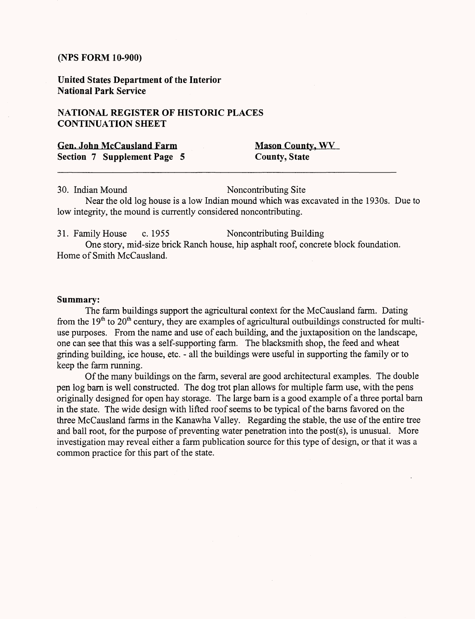**United States Department of the Interior National Park Service**

## **NATIONAL REGISTER OF HISTORIC PLACES CONTINUATION SHEET**

|  | <b>Gen. John McCausland Farm</b> |  |  |
|--|----------------------------------|--|--|
|  | Section 7 Supplement Page 5      |  |  |

**Mason County, WV County, State** 

30. Indian Mound Noncontributing Site

Near the old log house is a low Indian mound which was excavated in the 1930s. Due to low integrity, the mound is currently considered noncontributing.

31. Family House c. 1955 Noncontributing Building One story, mid-size brick Ranch house, hip asphalt roof, concrete block foundation. Home of Smith McCausland.

#### **Summary:**

The farm buildings support the agricultural context for the McCausland farm. Dating from the  $19<sup>th</sup>$  to  $20<sup>th</sup>$  century, they are examples of agricultural outbuildings constructed for multiuse purposes. From the name and use of each building, and the juxtaposition on the landscape, one can see that this was a self-supporting farm. The blacksmith shop, the feed and wheat grinding building, ice house, etc. - all the buildings were useful in supporting the family or to keep the farm running.

Of the many buildings on the farm, several are good architectural examples. The double pen log barn is well constructed. The dog trot plan allows for multiple farm use, with the pens originally designed for open hay storage. The large barn is a good example of a three portal barn in the state. The wide design with lifted roof seems to be typical of the barns favored on the three McCausland farms in the Kanawha Valley. Regarding the stable, the use of the entire tree and ball root, for the purpose of preventing water penetration into the post(s), is unusual. More investigation may reveal either a farm publication source for this type of design, or that it was a common practice for this part of the state.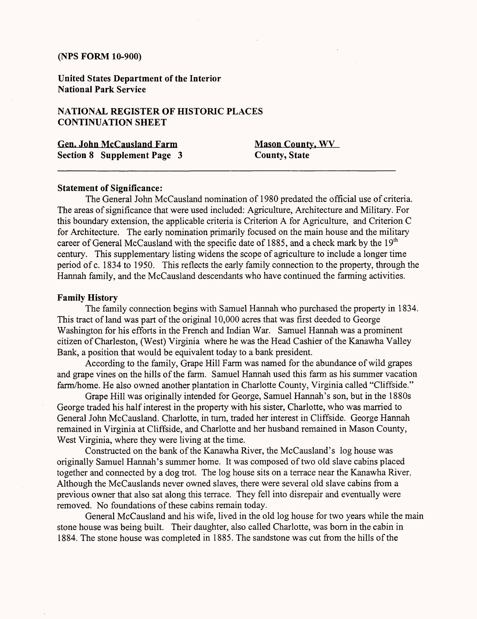**United States Department of the Interior National Park Service**

## **NATIONAL REGISTER OF HISTORIC PLACES CONTINUATION SHEET**

**Gen. John McCausland Farm Mason County, WV Section 8 Supplement Page 3 County, State**

#### **Statement of Significance:**

The General John McCausland nomination of 1980 predated the official use of criteria. The areas of significance that were used included: Agriculture, Architecture and Military. For this boundary extension, the applicable criteria is Criterion A for Agriculture, and Criterion C for Architecture. The early nomination primarily focused on the main house and the military career of General McCausland with the specific date of 1885, and a check mark by the  $19<sup>th</sup>$ century. This supplementary listing widens the scope of agriculture to include a longer time period of c. 1834 to 1950. This reflects the early family connection to the property, through the Hannah family, and the McCausland descendants who have continued the farming activities.

#### **Family History**

The family connection begins with Samuel Hannah who purchased the property in 1834. This tract of land was part of the original 10,000 acres that was first deeded to George Washington for his efforts in the French and Indian War. Samuel Hannah was a prominent citizen of Charleston, (West) Virginia where he was the Head Cashier of the Kanawha Valley Bank, a position that would be equivalent today to a bank president.

According to the family, Grape Hill Farm was named for the abundance of wild grapes and grape vines on the hills of the farm. Samuel Hannah used this farm as his summer vacation farm/home. He also owned another plantation in Charlotte County, Virginia called "Cliffside."

Grape Hill was originally intended for George, Samuel Hannah's son, but in the 1880s George traded his half interest in the property with his sister, Charlotte, who was married to General John McCausland. Charlotte, in turn, traded her interest in Cliffside. George Hannah remained in Virginia at Cliffside, and Charlotte and her husband remained in Mason County, West Virginia, where they were living at the time.

Constructed on the bank of the Kanawha River, the McCausland's log house was originally Samuel Hannah's summer home. It was composed of two old slave cabins placed together and connected by a dog trot. The log house sits on a terrace near the Kanawha River. Although the McCauslands never owned slaves, there were several old slave cabins from a previous owner that also sat along this terrace. They fell into disrepair and eventually were removed. No foundations of these cabins remain today.

General McCausland and his wife, lived in the old log house for two years while the main stone house was being built. Their daughter, also called Charlotte, was born in the cabin in 1884. The stone house was completed in 1885. The sandstone was cut from the hills of the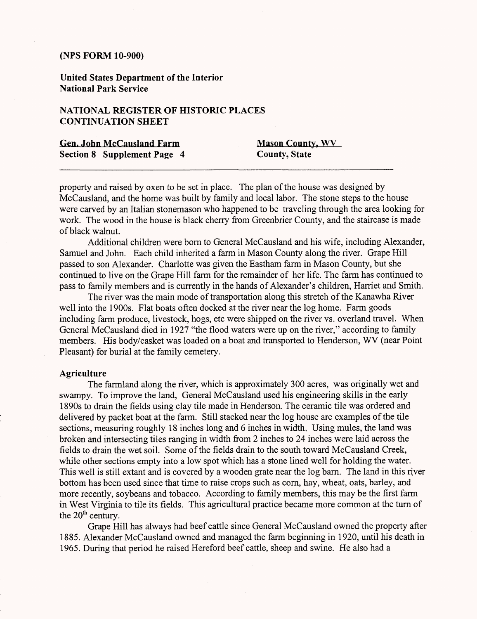**United States Department of the Interior National Park Service**

# **NATIONAL REGISTER OF HISTORIC PLACES CONTINUATION SHEET**

| <b>Gen. John McCausland Farm</b>   | <b>Mason County, WV</b> |
|------------------------------------|-------------------------|
| <b>Section 8 Supplement Page 4</b> | <b>County, State</b>    |

property and raised by oxen to be set in place. The plan of the house was designed by McCausland, and the home was built by family and local labor. The stone steps to the house were carved by an Italian stonemason who happened to be traveling through the area looking for work. The wood in the house is black cherry from Greenbrier County, and the staircase is made of black walnut.

Additional children were born to General McCausland and his wife, including Alexander, Samuel and John. Each child inherited a farm in Mason County along the river. Grape Hill passed to son Alexander. Charlotte was given the Eastham farm in Mason County, but she continued to live on the Grape Hill farm for the remainder of her life. The farm has continued to pass to family members and is currently in the hands of Alexander's children, Harriet and Smith.

The river was the main mode of transportation along this stretch of the Kanawha River well into the 1900s. Flat boats often docked at the river near the log home. Farm goods including farm produce, livestock, hogs, etc were shipped on the river vs. overland travel. When General McCausland died in 1927 "the flood waters were up on the river," according to family members. His body/casket was loaded on a boat and transported to Henderson, WV (near Point Pleasant) for burial at the family cemetery.

#### **Agriculture**

The farmland along the river, which is approximately 300 acres, was originally wet and swampy. To improve the land, General McCausland used his engineering skills in the early 1890s to drain the fields using clay tile made in Henderson. The ceramic tile was ordered and delivered by packet boat at the farm. Still stacked near the log house are examples of the tile sections, measuring roughly 18 inches long and 6 inches in width. Using mules, the land was broken and intersecting tiles ranging in width from 2 inches to 24 inches were laid across the fields to drain the wet soil. Some of the fields drain to the south toward McCausland Creek, while other sections empty into a low spot which has a stone lined well for holding the water. This well is still extant and is covered by a wooden grate near the log barn. The land in this river bottom has been used since that time to raise crops such as corn, hay, wheat, oats, barley, and more recently, soybeans and tobacco. According to family members, this may be the first farm in West Virginia to tile its fields. This agricultural practice became more common at the turn of the  $20<sup>th</sup>$  century.

Grape Hill has always had beef cattle since General McCausland owned the property after 1885. Alexander McCausland owned and managed the farm beginning in 1920, until his death in 1965. During that period he raised Hereford beef cattle, sheep and swine. He also had a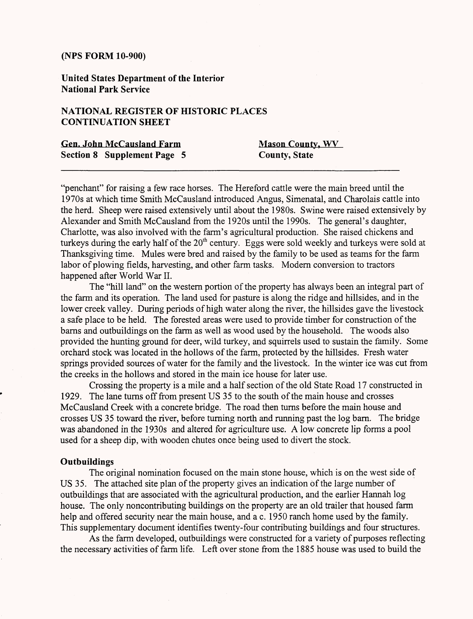**United States Department of the Interior National Park Service**

## **NATIONAL REGISTER OF HISTORIC PLACES CONTINUATION SHEET**

| <b>Gen. John McCausland Farm</b> | <b>Mason County, WV</b> |
|----------------------------------|-------------------------|
| Section 8 Supplement Page 5      | <b>County, State</b>    |

"penchant" for raising a few race horses. The Hereford cattle were the main breed until the 1970s at which time Smith McCausland introduced Angus, Simenatal, and Charolais cattle into the herd. Sheep were raised extensively until about the 1980s. Swine were raised extensively by Alexander and Smith McCausland from the 1920s until the 1990s. The general's daughter, Charlotte, was also involved with the farm's agricultural production. She raised chickens and turkeys during the early half of the  $20<sup>th</sup>$  century. Eggs were sold weekly and turkeys were sold at Thanksgiving time. Mules were bred and raised by the family to be used as teams for the farm labor of plowing fields, harvesting, and other farm tasks. Modern conversion to tractors happened after World War II.

The "hill land" on the western portion of the property has always been an integral part of the farm and its operation. The land used for pasture is along the ridge and hillsides, and in the lower creek valley. During periods of high water along the river, the hillsides gave the livestock a safe place to be held. The forested areas were used to provide timber for construction of the barns and outbuildings on the farm as well as wood used by the household. The woods also provided the hunting ground for deer, wild turkey, and squirrels used to sustain the family. Some orchard stock was located in the hollows of the farm, protected by the hillsides. Fresh water springs provided sources of water for the family and the livestock. In the winter ice was cut from the creeks in the hollows and stored in the main ice house for later use.

Crossing the property is a mile and a half section of the old State Road 17 constructed in 1929. The lane turns off from present US 35 to the south of the main house and crosses McCausland Creek with a concrete bridge. The road then turns before the main house and crosses US 35 toward the river, before turning north and running past the log barn. The bridge was abandoned in the 1930s and altered for agriculture use. A low concrete lip forms a pool used for a sheep dip, with wooden chutes once being used to divert the stock.

#### **Outbuildings**

The original nomination focused on the main stone house, which is on the west side of US 35. The attached site plan of the property gives an indication of the large number of outbuildings that are associated with the agricultural production, and the earlier Hannah log house. The only noncontributing buildings on the property are an old trailer that housed farm help and offered security near the main house, and a c. 1950 ranch home used by the family. This supplementary document identifies twenty-four contributing buildings and four structures.

As the farm developed, outbuildings were constructed for a variety of purposes reflecting the necessary activities of farm life. Left over stone from the 1885 house was used to build the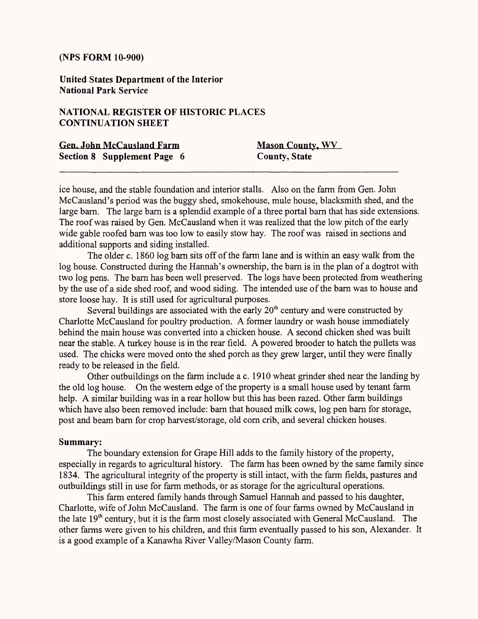**United States Department of the Interior National Park Service**

## **NATIONAL REGISTER OF HISTORIC PLACES CONTINUATION SHEET**

| <b>Gen. John McCausland Farm</b> | <b>Mason County, WV</b> |
|----------------------------------|-------------------------|
| Section 8 Supplement Page 6      | <b>County, State</b>    |

ice house, and the stable foundation and interior stalls. Also on the farm from Gen. John McCausIand's period was the buggy shed, smokehouse, mule house, blacksmith shed, and the large barn. The large barn is a splendid example of a three portal barn that has side extensions. The roof was raised by Gen. McCausIand when it was realized that the low pitch of the early wide gable roofed barn was too low to easily stow hay. The roof was raised in sections and additional supports and siding installed.

The older c. 1860 log barn sits off of the farm lane and is within an easy walk from the log house. Constructed during the Hannah's ownership, the barn is in the plan of a dogtrot with two log pens. The barn has been well preserved. The logs have been protected from weathering by the use of a side shed roof, and wood siding. The intended use of the barn was to house and store loose hay. It is still used for agricultural purposes.

Several buildings are associated with the early  $20<sup>th</sup>$  century and were constructed by Charlotte McCausIand for poultry production. A former laundry or wash house immediately behind the main house was converted into a chicken house. A second chicken shed was built near the stable. A turkey house is in the rear field. A powered brooder to hatch the pullets was used. The chicks were moved onto the shed porch as they grew larger, until they were finally ready to be released in the field.

Other outbuildings on the farm include a c. 1910 wheat grinder shed near the landing by the old log house. On the western edge of the property is a small house used by tenant farm help. A similar building was in a rear hollow but this has been razed. Other farm buildings which have also been removed include: barn that housed milk cows, log pen barn for storage, post and beam barn for crop harvest/storage, old corn crib, and several chicken houses.

#### **Summary:**

The boundary extension for Grape Hill adds to the family history of the property, especially in regards to agricultural history. The farm has been owned by the same family since 1834. The agricultural integrity of the property is still intact, with the farm fields, pastures and outbuildings still in use for farm methods, or as storage for the agricultural operations.

This farm entered family hands through Samuel Hannah and passed to his daughter, Charlotte, wife of John McCausIand. The farm is one of four farms owned by McCausIand in the late  $19<sup>th</sup>$  century, but it is the farm most closely associated with General McCausland. The other farms were given to his children, and this farm eventually passed to his son, Alexander. It is a good example of a Kanawha River Valley/Mason County farm.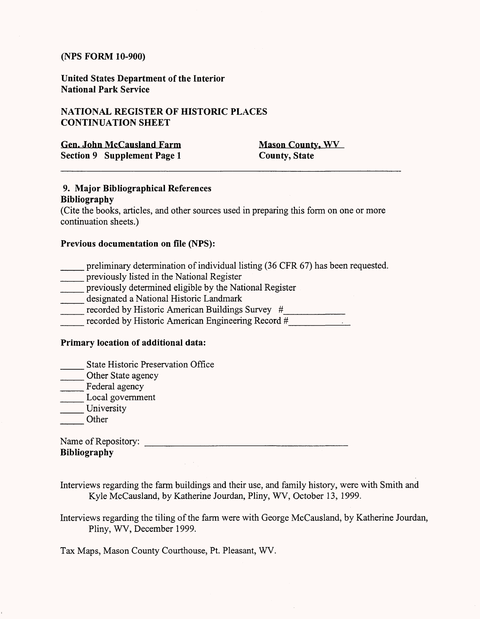**United States Department of the Interior National Park Service**

## **NATIONAL REGISTER OF HISTORIC PLACES CONTINUATION SHEET**

| <b>Gen. John McCausland Farm</b> | <b>Mason County, WV</b> |
|----------------------------------|-------------------------|
| Section 9 Supplement Page 1      | <b>County, State</b>    |

## **9. Major Bibliographical References Bibliography**

(Cite the books, articles, and other sources used in preparing this form on one or more continuation sheets.)

## **Previous documentation on file (NPS):**

- preliminary determination of individual listing (36 CFR 67) has been requested.
- \_\_\_ previously listed in the National Register
- \_\_\_ previously determined eligible by the National Register
- \_\_\_ designated a National Historic Landmark
- \_\_\_ recorded by Historic American Buildings Survey *#\_\_\_\_\_\_\_\_\_\_*
- recorded by Historic American Engineering Record *#\_*

#### **Primary location of additional data:**

- State Historic Preservation Office
- Other State agency
- Federal agency
- Local government
- University
- **Other**

| Name of Repository: |  |
|---------------------|--|
| <b>Bibliography</b> |  |

- Interviews regarding the farm buildings and their use, and family history, were with Smith and Kyle McCausland, by Katherine Jourdan, Pliny, WV, October 13, 1999.
- Interviews regarding the tiling of the farm were with George McCausland, by Katherine Jourdan, Pliny, WV, December 1999.

Tax Maps, Mason County Courthouse, Pt. Pleasant, WV.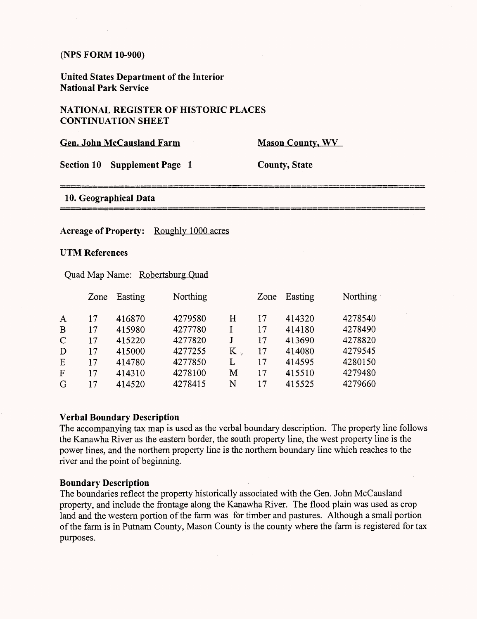**United States Department of the Interior National Park Service**

## **NATIONAL REGISTER OF HISTORIC PLACES CONTINUATION SHEET**

| <b>Gen. John McCausland Farm</b> |                        | <b>Mason County, WV</b> |  |  |
|----------------------------------|------------------------|-------------------------|--|--|
| <b>Section 10</b>                | <b>Supplement Page</b> | <b>County, State</b>    |  |  |
| 10. Geographical Data            |                        |                         |  |  |

#### Acreage of Property: Roughly 1000 acres

#### **UTM References**

Quad Map Name: Robertsburg Quad

| Zone | Easting | Northing |   | Zone | Easting | <b>Northing</b> |
|------|---------|----------|---|------|---------|-----------------|
| 17   | 416870  | 4279580  | Η | 17   | 414320  | 4278540         |
| 17   | 415980  | 4277780  |   | 17   | 414180  | 4278490         |
| 17   | 415220  | 4277820  |   | 17   | 413690  | 4278820         |
| 17   | 415000  | 4277255  | K | 17   | 414080  | 4279545         |
| 17   | 414780  | 4277850  | L | 17   | 414595  | 4280150         |
| 17   | 414310  | 4278100  | M | 17   | 415510  | 4279480         |
| 17   | 414520  | 4278415  | N | 17   | 415525  | 4279660         |
|      |         |          |   |      |         |                 |

#### **Verbal Boundary Description**

The accompanying tax map is used as the verbal boundary description. The property line follows the Kanawha River as the eastern border, the south property line, the west property line is the power lines, and the northern property line is the northern boundary line which reaches to the river and the point of beginning.

#### **Boundary Description**

The boundaries reflect the property historically associated with the Gen. John McCausland property, and include the frontage along the Kanawha River. The flood plain was used as crop land and the western portion of the farm was for timber and pastures. Although a small portion of the farm is in Putnam County, Mason County is the county where the farm is registered for tax purposes.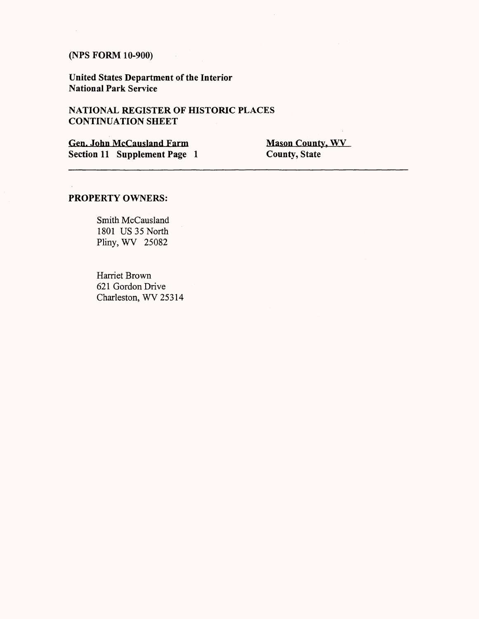$\sim$ 

**United States Department of the Interior National Park Service**

## NATIONAL REGISTER OF HISTORIC PLACES **CONTINUATION SHEET**

**Gen. John McCausland Farm Mason County, WV**<br> **Section 11 Supplement Page 1** County, State **Section 11 Supplement Page 1** 

## **PROPERTY OWNERS:**

Smith McCausland 1801 US 35 North Pliny, WV 25082

Harriet Brown 621 Gordon Drive Charleston, WV 25314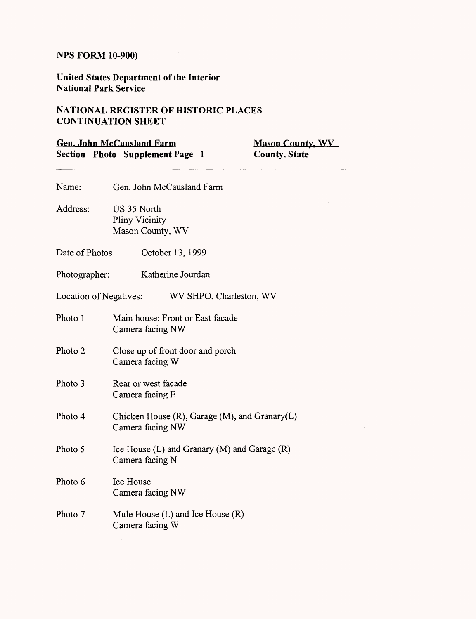$\bar{\beta}$ 

**United States Department of the Interior National Park Service**

 $\sim 10^{-11}$ 

# **NATIONAL REGISTER OF HISTORIC PLACES CONTINUATION SHEET**

|                        | <b>Gen. John McCausland Farm</b><br><b>Mason County, WV</b><br>Section Photo Supplement Page 1<br><b>County, State</b> |
|------------------------|------------------------------------------------------------------------------------------------------------------------|
| Name:                  | Gen. John McCausland Farm                                                                                              |
| Address:               | US 35 North<br>Pliny Vicinity<br>Mason County, WV                                                                      |
| Date of Photos         | October 13, 1999                                                                                                       |
| Photographer:          | Katherine Jourdan                                                                                                      |
| Location of Negatives: | WV SHPO, Charleston, WV                                                                                                |
| Photo 1                | Main house: Front or East facade<br>Camera facing NW                                                                   |
| Photo 2                | Close up of front door and porch<br>Camera facing W                                                                    |
| Photo 3                | Rear or west facade<br>Camera facing E                                                                                 |
| Photo 4                | Chicken House $(R)$ , Garage $(M)$ , and Granary $(L)$<br>Camera facing NW                                             |
| Photo 5                | Ice House (L) and Granary (M) and Garage (R)<br>Camera facing N                                                        |
| Photo 6                | Ice House<br>Camera facing NW                                                                                          |
| Photo 7                | Mule House $(L)$ and Ice House $(R)$<br>Camera facing W                                                                |

 $\ddot{\phantom{a}}$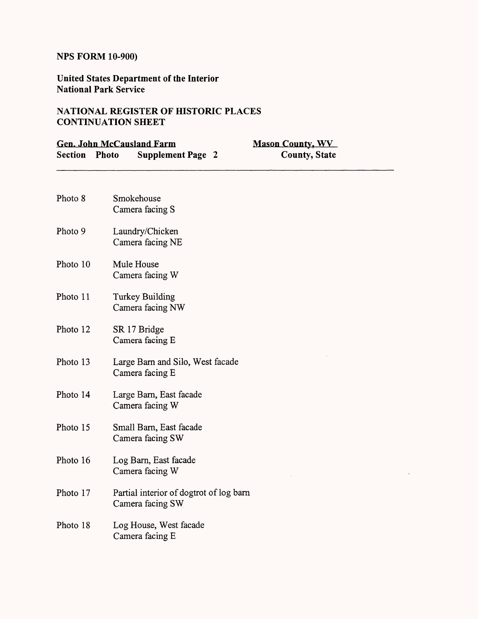**United States Department of the Interior National Park Service**

# **NATIONAL REGISTER OF HISTORIC PLACES CONTINUATION SHEET**

| <b>Gen. John McCausland Farm</b> |                                                             | <b>Mason County, WV</b> |  |  |
|----------------------------------|-------------------------------------------------------------|-------------------------|--|--|
| Section                          | Photo<br><b>Supplement Page 2</b>                           | <b>County, State</b>    |  |  |
| Photo 8                          | Smokehouse<br>Camera facing S                               |                         |  |  |
| Photo 9                          | Laundry/Chicken<br>Camera facing NE                         |                         |  |  |
| Photo 10                         | Mule House<br>Camera facing W                               |                         |  |  |
| Photo 11                         | Turkey Building<br>Camera facing NW                         |                         |  |  |
| Photo 12                         | SR 17 Bridge<br>Camera facing E                             |                         |  |  |
| Photo 13                         | Large Barn and Silo, West facade<br>Camera facing E         |                         |  |  |
| Photo 14                         | Large Barn, East facade<br>Camera facing W                  |                         |  |  |
| Photo 15                         | Small Barn, East facade<br>Camera facing SW                 |                         |  |  |
| Photo 16                         | Log Barn, East facade<br>Camera facing W                    |                         |  |  |
| Photo 17                         | Partial interior of dogtrot of log barn<br>Camera facing SW |                         |  |  |
| Photo 18                         | Log House, West facade<br>Camera facing E                   |                         |  |  |

 $\ddot{\phantom{a}}$